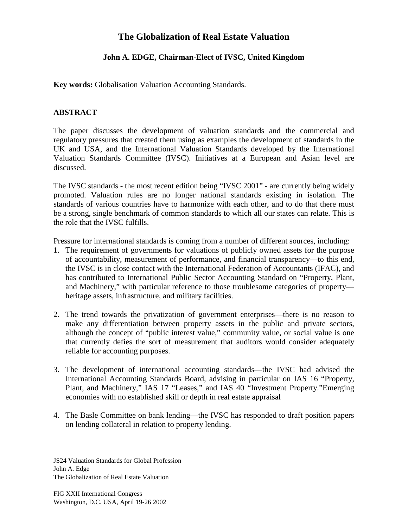## **The Globalization of Real Estate Valuation**

## **John A. EDGE, Chairman-Elect of IVSC, United Kingdom**

**Key words:** Globalisation Valuation Accounting Standards.

## **ABSTRACT**

The paper discusses the development of valuation standards and the commercial and regulatory pressures that created them using as examples the development of standards in the UK and USA, and the International Valuation Standards developed by the International Valuation Standards Committee (IVSC). Initiatives at a European and Asian level are discussed.

The IVSC standards - the most recent edition being "IVSC 2001" - are currently being widely promoted. Valuation rules are no longer national standards existing in isolation. The standards of various countries have to harmonize with each other, and to do that there must be a strong, single benchmark of common standards to which all our states can relate. This is the role that the IVSC fulfills.

Pressure for international standards is coming from a number of different sources, including:

- 1. The requirement of governments for valuations of publicly owned assets for the purpose of accountability, measurement of performance, and financial transparency—to this end, the IVSC is in close contact with the International Federation of Accountants (IFAC), and has contributed to International Public Sector Accounting Standard on "Property, Plant, and Machinery," with particular reference to those troublesome categories of property heritage assets, infrastructure, and military facilities.
- 2. The trend towards the privatization of government enterprises—there is no reason to make any differentiation between property assets in the public and private sectors, although the concept of "public interest value," community value, or social value is one that currently defies the sort of measurement that auditors would consider adequately reliable for accounting purposes.
- 3. The development of international accounting standards—the IVSC had advised the International Accounting Standards Board, advising in particular on IAS 16 "Property, Plant, and Machinery," IAS 17 "Leases," and IAS 40 "Investment Property."Emerging economies with no established skill or depth in real estate appraisal
- 4. The Basle Committee on bank lending—the IVSC has responded to draft position papers on lending collateral in relation to property lending.